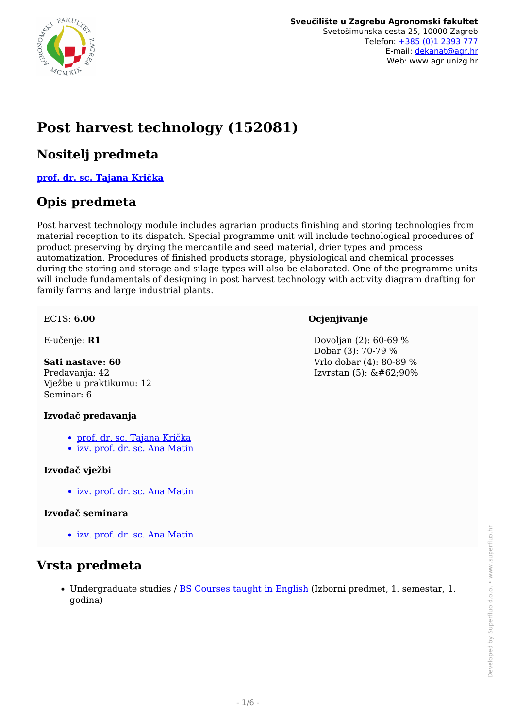

# **Post harvest technology (152081)**

#### **Nositelj predmeta**

**[prof. dr. sc. Tajana Krička](/hr/member/31)**

### **Opis predmeta**

Post harvest technology module includes agrarian products finishing and storing technologies from material reception to its dispatch. Special programme unit will include technological procedures of product preserving by drying the mercantile and seed material, drier types and process automatization. Procedures of finished products storage, physiological and chemical processes during the storing and storage and silage types will also be elaborated. One of the programme units will include fundamentals of designing in post harvest technology with activity diagram drafting for family farms and large industrial plants.

#### ECTS: **6.00**

E-učenje: **R1**

**Sati nastave: 60** Predavanja: 42 Vježbe u praktikumu: 12 Seminar: 6

#### **Izvođač predavanja**

- [prof. dr. sc. Tajana Krička](/hr/member/31)
- [izv. prof. dr. sc. Ana Matin](/hr/member/212)

#### **Izvođač vježbi**

• [izv. prof. dr. sc. Ana Matin](/hr/member/212)

#### **Izvođač seminara**

[izv. prof. dr. sc. Ana Matin](/hr/member/212)

#### **Vrsta predmeta**

• Undergraduate studies / [BS Courses taught in English](/hr/study/en/4/BS+Courses+taught+in+English) (Izborni predmet, 1. semestar, 1. godina)

**Ocjenjivanje**

 Dovoljan (2): 60-69 % Dobar (3): 70-79 % Vrlo dobar (4): 80-89 % Izvrstan  $(5)$ :  $&\#62;90%$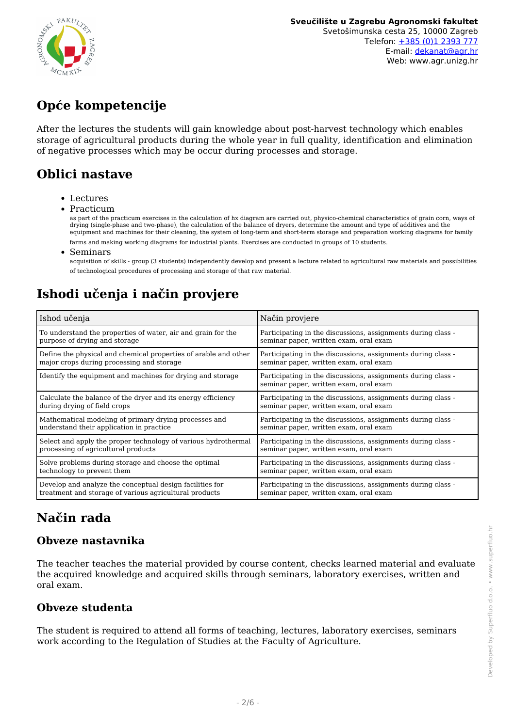

# **Opće kompetencije**

After the lectures the students will gain knowledge about post-harvest technology which enables storage of agricultural products during the whole year in full quality, identification and elimination of negative processes which may be occur during processes and storage.

## **Oblici nastave**

- Lectures
- Practicum

as part of the practicum exercises in the calculation of hx diagram are carried out, physico-chemical characteristics of grain corn, ways of drying (single-phase and two-phase), the calculation of the balance of dryers, determine the amount and type of additives and the equipment and machines for their cleaning, the system of long-term and short-term storage and preparation working diagrams for family

farms and making working diagrams for industrial plants. Exercises are conducted in groups of 10 students.

• Seminars

acquisition of skills - group (3 students) independently develop and present a lecture related to agricultural raw materials and possibilities of technological procedures of processing and storage of that raw material.

## **Ishodi učenja i način provjere**

| Ishod učenja                                                    | Način provjere                                                                                         |
|-----------------------------------------------------------------|--------------------------------------------------------------------------------------------------------|
| To understand the properties of water, air and grain for the    | Participating in the discussions, assignments during class -                                           |
| purpose of drying and storage                                   | seminar paper, written exam, oral exam                                                                 |
| Define the physical and chemical properties of arable and other | Participating in the discussions, assignments during class -                                           |
| major crops during processing and storage                       | seminar paper, written exam, oral exam                                                                 |
| Identify the equipment and machines for drying and storage      | Participating in the discussions, assignments during class -<br>seminar paper, written exam, oral exam |
| Calculate the balance of the dryer and its energy efficiency    | Participating in the discussions, assignments during class -                                           |
| during drying of field crops                                    | seminar paper, written exam, oral exam                                                                 |
| Mathematical modeling of primary drying processes and           | Participating in the discussions, assignments during class -                                           |
| understand their application in practice                        | seminar paper, written exam, oral exam                                                                 |
| Select and apply the proper technology of various hydrothermal  | Participating in the discussions, assignments during class -                                           |
| processing of agricultural products                             | seminar paper, written exam, oral exam                                                                 |
| Solve problems during storage and choose the optimal            | Participating in the discussions, assignments during class -                                           |
| technology to prevent them                                      | seminar paper, written exam, oral exam                                                                 |
| Develop and analyze the conceptual design facilities for        | Participating in the discussions, assignments during class -                                           |
| treatment and storage of various agricultural products          | seminar paper, written exam, oral exam                                                                 |

## **Način rada**

#### **Obveze nastavnika**

The teacher teaches the material provided by course content, checks learned material and evaluate the acquired knowledge and acquired skills through seminars, laboratory exercises, written and oral exam.

#### **Obveze studenta**

The student is required to attend all forms of teaching, lectures, laboratory exercises, seminars work according to the Regulation of Studies at the Faculty of Agriculture.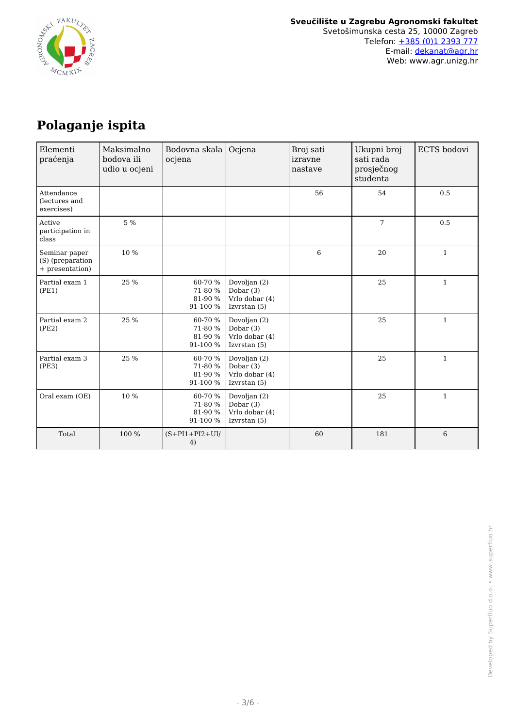

# **Polaganje ispita**

| Elementi<br>praćenja                                 | Maksimalno<br>bodova ili<br>udio u ocjeni | Bodovna skala   Ocjena<br>ocjena          |                                                                 | Broj sati<br>izravne<br>nastave | Ukupni broj<br>sati rada<br>prosječnog<br>studenta | ECTS bodovi  |
|------------------------------------------------------|-------------------------------------------|-------------------------------------------|-----------------------------------------------------------------|---------------------------------|----------------------------------------------------|--------------|
| Attendance<br>(lectures and<br>exercises)            |                                           |                                           |                                                                 | 56                              | 54                                                 | 0.5          |
| Active<br>participation in<br>class                  | 5 %                                       |                                           |                                                                 |                                 | 7                                                  | 0.5          |
| Seminar paper<br>(S) (preparation<br>+ presentation) | 10 %                                      |                                           |                                                                 | 6                               | 20                                                 | $\mathbf{1}$ |
| Partial exam 1<br>(PE1)                              | 25 %                                      | 60-70 %<br>71-80 %<br>81-90 %<br>91-100 % | Dovoljan (2)<br>Dobar $(3)$<br>Vrlo dobar (4)<br>Izvrstan $(5)$ |                                 | 25                                                 | $\mathbf{1}$ |
| Partial exam 2<br>(PE2)                              | 25 %                                      | 60-70 %<br>71-80 %<br>81-90 %<br>91-100 % | Dovoljan (2)<br>Dobar $(3)$<br>Vrlo dobar (4)<br>Izvrstan (5)   |                                 | 25                                                 | $\mathbf{1}$ |
| Partial exam 3<br>(PE3)                              | 25 %                                      | 60-70 %<br>71-80 %<br>81-90 %<br>91-100 % | Dovoljan (2)<br>Dobar (3)<br>Vrlo dobar (4)<br>Izvrstan $(5)$   |                                 | 25                                                 | $\mathbf{1}$ |
| Oral exam (OE)                                       | 10 %                                      | 60-70 %<br>71-80 %<br>81-90 %<br>91-100 % | Dovoljan (2)<br>Dobar $(3)$<br>Vrlo dobar (4)<br>Izvrstan $(5)$ |                                 | 25                                                 | $\mathbf{1}$ |
| Total                                                | 100 %                                     | $(S+PI1+PI2+UI/$<br>4)                    |                                                                 | 60                              | 181                                                | 6            |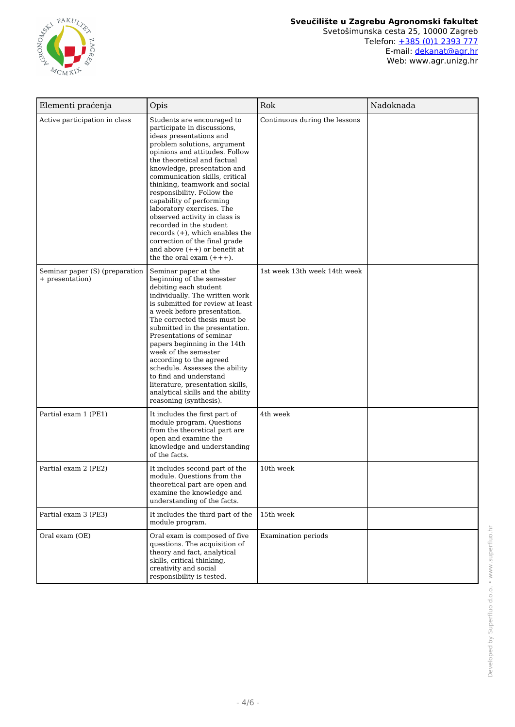

Web: www.agr.unizg.hr

| Elementi praćenja                                 | Opis                                                                                                                                                                                                                                                                                                                                                                                                                                                                                                                                                                             | Rok                           | Nadoknada |
|---------------------------------------------------|----------------------------------------------------------------------------------------------------------------------------------------------------------------------------------------------------------------------------------------------------------------------------------------------------------------------------------------------------------------------------------------------------------------------------------------------------------------------------------------------------------------------------------------------------------------------------------|-------------------------------|-----------|
| Active participation in class                     | Students are encouraged to<br>participate in discussions,<br>ideas presentations and<br>problem solutions, argument<br>opinions and attitudes. Follow<br>the theoretical and factual<br>knowledge, presentation and<br>communication skills, critical<br>thinking, teamwork and social<br>responsibility. Follow the<br>capability of performing<br>laboratory exercises. The<br>observed activity in class is<br>recorded in the student<br>records $(+)$ , which enables the<br>correction of the final grade<br>and above $(++)$ or benefit at<br>the the oral exam $(+++)$ . | Continuous during the lessons |           |
| Seminar paper (S) (preparation<br>+ presentation) | Seminar paper at the<br>beginning of the semester<br>debiting each student<br>individually. The written work<br>is submitted for review at least<br>a week before presentation.<br>The corrected thesis must be<br>submitted in the presentation.<br>Presentations of seminar<br>papers beginning in the 14th<br>week of the semester<br>according to the agreed<br>schedule. Assesses the ability<br>to find and understand<br>literature, presentation skills,<br>analytical skills and the ability<br>reasoning (synthesis).                                                  | 1st week 13th week 14th week  |           |
| Partial exam 1 (PE1)                              | It includes the first part of<br>module program. Questions<br>from the theoretical part are<br>open and examine the<br>knowledge and understanding<br>of the facts.                                                                                                                                                                                                                                                                                                                                                                                                              | 4th week                      |           |
| Partial exam 2 (PE2)                              | It includes second part of the<br>module. Questions from the<br>theoretical part are open and<br>examine the knowledge and<br>understanding of the facts.                                                                                                                                                                                                                                                                                                                                                                                                                        | 10th week                     |           |
| Partial exam 3 (PE3)                              | It includes the third part of the<br>module program.                                                                                                                                                                                                                                                                                                                                                                                                                                                                                                                             | 15th week                     |           |
| Oral exam (OE)                                    | Oral exam is composed of five<br>questions. The acquisition of<br>theory and fact, analytical<br>skills, critical thinking,<br>creativity and social<br>responsibility is tested.                                                                                                                                                                                                                                                                                                                                                                                                | Examination periods           |           |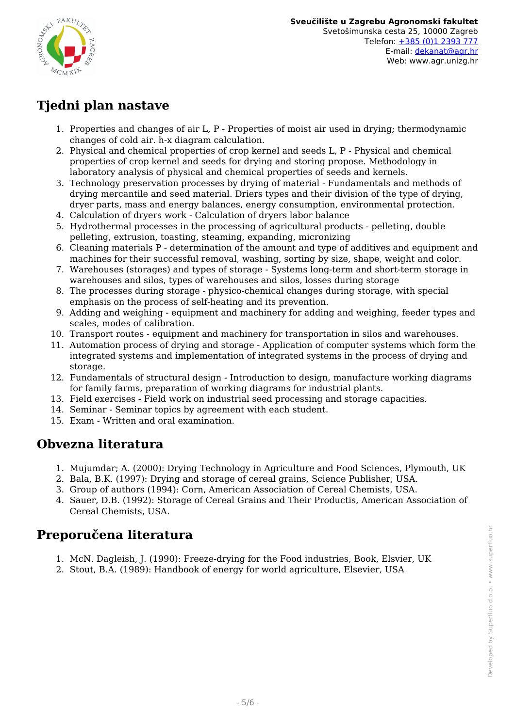

## **Tjedni plan nastave**

- 1. Properties and changes of air L, P Properties of moist air used in drying; thermodynamic changes of cold air. h-x diagram calculation.
- 2. Physical and chemical properties of crop kernel and seeds L, P Physical and chemical properties of crop kernel and seeds for drying and storing propose. Methodology in laboratory analysis of physical and chemical properties of seeds and kernels.
- 3. Technology preservation processes by drying of material Fundamentals and methods of drying mercantile and seed material. Driers types and their division of the type of drying, dryer parts, mass and energy balances, energy consumption, environmental protection.
- 4. Calculation of dryers work Calculation of dryers labor balance
- 5. Hydrothermal processes in the processing of agricultural products pelleting, double pelleting, extrusion, toasting, steaming, expanding, micronizing
- 6. Cleaning materials P determination of the amount and type of additives and equipment and machines for their successful removal, washing, sorting by size, shape, weight and color.
- 7. Warehouses (storages) and types of storage Systems long-term and short-term storage in warehouses and silos, types of warehouses and silos, losses during storage
- 8. The processes during storage physico-chemical changes during storage, with special emphasis on the process of self-heating and its prevention.
- 9. Adding and weighing equipment and machinery for adding and weighing, feeder types and scales, modes of calibration.
- 10. Transport routes equipment and machinery for transportation in silos and warehouses.
- 11. Automation process of drying and storage Application of computer systems which form the integrated systems and implementation of integrated systems in the process of drying and storage.
- 12. Fundamentals of structural design Introduction to design, manufacture working diagrams for family farms, preparation of working diagrams for industrial plants.
- 13. Field exercises Field work on industrial seed processing and storage capacities.
- 14. Seminar Seminar topics by agreement with each student.
- 15. Exam Written and oral examination.

#### **Obvezna literatura**

- 1. Mujumdar; A. (2000): Drying Technology in Agriculture and Food Sciences, Plymouth, UK
- 2. Bala, B.K. (1997): Drying and storage of cereal grains, Science Publisher, USA.
- 3. Group of authors (1994): Corn, American Association of Cereal Chemists, USA.
- 4. Sauer, D.B. (1992): Storage of Cereal Grains and Their Productis, American Association of Cereal Chemists, USA.

#### **Preporučena literatura**

- 1. McN. Dagleish, J. (1990): Freeze-drying for the Food industries, Book, Elsvier, UK
- 2. Stout, B.A. (1989): Handbook of energy for world agriculture, Elsevier, USA